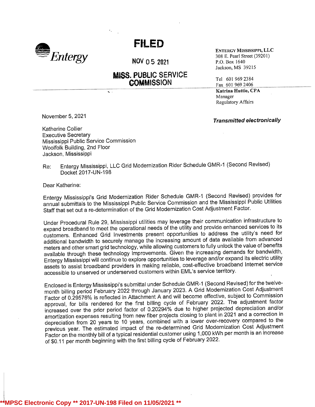

## FILED

NOV 0 5 2021 P.O. Box 1640

## MISS. PUBLIC SERVICE **COMMISSION**

ENTERGY MISSISSIPPI, LLC 308 E. Pearl Street (39201) Jackson, MS 39215

Tel 601 969 2384 Fax 601 969 2406 Katrina Huttie, CPA Manager Regulatory Affairs

November 5, 2021

Katherine Collier Executive Secretary Mississippi Public Service Commission Woolfolk Building, 2nd Floor Jackson, Mississippi

 $\mathbf{A}$ 

**Transmitted electronically** 

Re: Entergy Mississippi, LLC Grid Modernization Rider Schedule GMR-1 (Second Revised) Docket 2017-UN-198

Dear Katherine:

Entergy Mississippi's Grid Modernization Rider Schedule GMR-1 (Second Revised) provides for annual submittals to the Mississippi Public Service Commission and the Mississippi Public Utilities Staff that set out <sup>a</sup> re-determination of the Grid Modernization Cost Adjustment Factor.

Under Procedural Rule 29, Mississippi utilities may leverage their communication infrastructure to expand broadband to meet the operational needs of the utility and provide enhanced services to its customers. Enhanced Grid investments present opportunities to address the utility's need for additional bandwidth to securely manage the increasing amount of data available from advanced meters and other smart grid technology, while allowing customers to fully unlock the value of benefits available through these technology improvements. Given the increasing demands for bandwidth, Entergy Mississippi will continue to explore opportunities to leverage and/or expand its electric utility assets to assist broadband providers in making reliable, cost-effective broadband Internet service accessible to unserved or underserved customers within EML's service territory.

Enclosed is Entergy Mississippi's submittal under Schedule GMR-1 (Second Revised) for the twelvemonth billing period February 2022 through January 2023. A Grid Modernization Cost Adjustment Factor of 0.29576% is reflected in Attachment <sup>A</sup> and will become effective, subject to Commission approval, for bills rendered for the first billing cycle of February 2022. The adjustment factor increased over the prior period factor of 0.20294% due to higher projected depreciation and/or amortization expenses resulting from new fiber projects closing to plant in <sup>2021</sup> and <sup>a</sup> correction in depreciation from <sup>20</sup> years to <sup>10</sup> years, combined with <sup>a</sup> lower over-recovery compared to the previous year. The estimated impact of the re-determined Grid Modernization Cost Adjustment Factor on the monthly bill of <sup>a</sup> typical residential customer using 1,000 kWh per month is an increase of \$0.11 per month beginning with the first billing cycle of February 2022.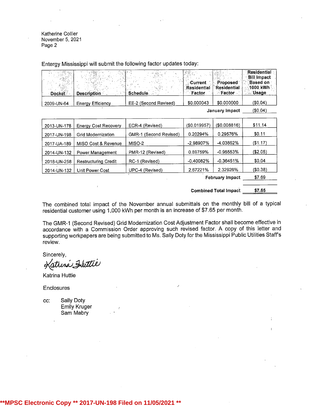Katherine Collier November 5, 2021 Page 2

Residential **Bill Impact**<br>Based on "Current Proposed Based on<br>| Proposed Based on"<br>| Presidential | Presidential | Proposition Residential Residential 1000 kW<br>Factor Factor Beage Docket | Description Schedule Factor 2009-UN-64 Energy Efficiency | EE-2 (Second Revised) | \$0.000043 | \$0.000000 | (\$0.04) January Impact (\$0.04) 2013-UN-178 Energy Cost Recovery ECR-4 (Revised) (\$0.019957) (\$0.008816) \$11.14 2017-UN-198 Grid Modernization GMR-1 (Second Revised) 0.20294% 0.29576% \$0.11 2017-UA-189 MISO Cost & Revenue MISO-2 -2.98907% -4.03862% (\$1.17) 2014-UN-132 Power Management PMR-12 (Revised) 0.89759% -0.95553% (\$2.05) 2018-UN-258 Restructuring Credit RC-1 (Revised) -0.40082% -0.36451% \$0.04 2014-UN-132 Unit Power Cost UPC-4 (Revised) 2.67221% 2.32926% (\$0.38) February Impact \$7.69 Combined Total Impaci \$7.65

Entergy Mississippi will submit the following factor updates today:

The combined total impact of the November annual submittals on the monthly bill of <sup>a</sup> typical residential customer using 1,000 kWh per month is an increase of \$7.65 per month.

The GMR-1 (Second Revised) Grid Modernization Cost Adjustment Factor shall become effective in accordance with <sup>a</sup> Commission Order approving such revised factor. A copy of this letter and supporting workpapers are being submitted to Ms. Sally Doty for the Mississippi Public Utilities Staff's review.

Sincerely,

Katrina Abuttie

Katrina Huttie

**Enclosures** 

cc: Sally Doty Emily Kruger , Sam Mabry

**\*\*MPSC Electronic Copy \*\* 2017-UN-198 Filed on 11/05/2021 \*\***